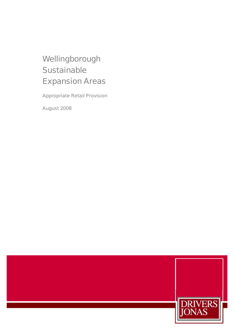# Wellingborough **Sustainable** Expansion Areas

Appropriate Retail Provision

August 2008

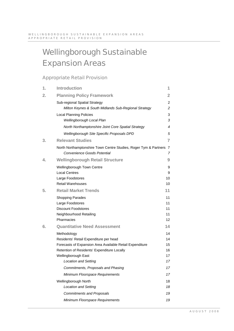# Wellingborough Sustainable Expansion Areas

# Appropriate Retail Provision

| 1. | <b>Introduction</b>                                                                               | 1                       |
|----|---------------------------------------------------------------------------------------------------|-------------------------|
| 2. | <b>Planning Policy Framework</b>                                                                  | $\overline{\mathbf{2}}$ |
|    | Sub-regional Spatial Strategy                                                                     | $\overline{2}$          |
|    | Milton Keynes & South Midlands Sub-Regional Strategy                                              | 2                       |
|    | <b>Local Planning Policies</b>                                                                    | 3                       |
|    | Wellingborough Local Plan                                                                         | 3                       |
|    | North Northamptonshire Joint Core Spatial Strategy                                                | 4                       |
|    | Wellingborough Site Specific Proposals DPD                                                        | 5                       |
| 3. | <b>Relevant Studies</b>                                                                           | $\overline{7}$          |
|    | North Northamptonshire Town Centre Studies, Roger Tym & Partners 7<br>Convenience Goods Potential | 7                       |
| 4. | <b>Wellingborough Retail Structure</b>                                                            | 9                       |
|    | Wellingborough Town Centre                                                                        | 9                       |
|    | <b>Local Centres</b>                                                                              | 9                       |
|    | Large Foodstores                                                                                  | 10                      |
|    | <b>Retail Warehouses</b>                                                                          | 10                      |
| 5. | <b>Retail Market Trends</b>                                                                       | 11                      |
|    | <b>Shopping Parades</b>                                                                           | 11                      |
|    | Large Foodstores                                                                                  | 11                      |
|    | <b>Discount Foodstores</b>                                                                        | 11<br>11                |
|    | Neighbourhood Retailing<br>Pharmacies                                                             | 12                      |
| 6. | <b>Quantitative Need Assessment</b>                                                               | 14                      |
|    | Methodology                                                                                       | 14                      |
|    | Residents' Retail Expenditure per head                                                            | 14                      |
|    | Forecasts of Expansion Area Available Retail Expenditure                                          | 15                      |
|    | Retention of Residents' Expenditure Locally                                                       | 16                      |
|    | Wellingborough East                                                                               | 17                      |
|    | Location and Setting                                                                              | 17                      |
|    | Commitments, Proposals and Phasing                                                                | 17                      |
|    | Minimum Floorspace Requirements                                                                   | 17                      |
|    | Wellingborough North                                                                              | 18                      |
|    | <b>Location and Setting</b>                                                                       | 18                      |
|    | <b>Commitments and Proposals</b>                                                                  | 19                      |
|    | Minimum Floorspace Requirements                                                                   | 19                      |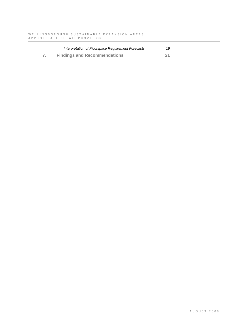| Interpretation of Floorspace Requirement Forecasts | 19 |
|----------------------------------------------------|----|
| <b>Findings and Recommendations</b>                | 21 |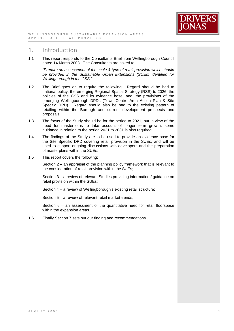

# 1. Introduction

1.1 This report responds to the Consultants Brief from Wellingborough Council dated 14 March 2008. The Consultants are asked to:

*"Prepare an assessment of the scale & type of retail provision which should be provided in the Sustainable Urban Extensions (SUEs) identified for Wellingborough in the CSS."*

- 1.2 The Brief goes on to require the following. Regard should be had to national policy, the emerging Regional Spatial Strategy (RSS) to 2026; the policies of the CSS and its evidence base, and; the provisions of the emerging Wellingborough DPDs (Town Centre Area Action Plan & Site Specific DPD). Regard should also be had to the existing pattern of retailing within the Borough and current development prospects and proposals.
- 1.3 The focus of the Study should be for the period to 2021, but in view of the need for masterplans to take account of longer term growth, some guidance in relation to the period 2021 to 2031 is also required.
- 1.4 The findings of the Study are to be used to provide an evidence base for the Site Specific DPD covering retail provision in the SUEs, and will be used to support ongoing discussions with developers and the preparation of masterplans within the SUEs.
- 1.5 This report covers the following:

Section 2 – an appraisal of the planning policy framework that is relevant to the consideration of retail provision within the SUEs;

Section 3 – a review of relevant Studies providing information / guidance on retail provision within the SUEs;

Section 4 – a review of Wellingborough's existing retail structure;

Section 5 – a review of relevant retail market trends;

Section 6 – an assessment of the quantitative need for retail floorspace within the expansion areas.

1.6 Finally Section 7 sets out our finding and recommendations.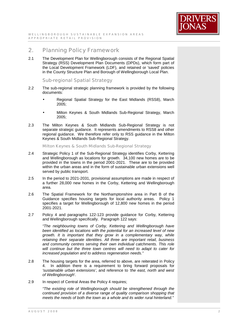

# 2. Planning Policy Framework

2.1 The Development Plan for Wellingborough consists of the Regional Spatial Strategy (RSS) Development Plan Documents (DPDs), which form part of the Local Development Framework (LDF), and retained or 'saved' policies in the County Structure Plan and Borough of Wellingborough Local Plan.

# Sub-regional Spatial Strategy

- 2.2 The sub-regional strategic planning framework is provided by the following documents:
	- Regional Spatial Strategy for the East Midlands (RSS8), March 2005;
	- Milton Keynes & South Midlands Sub-Regional Strategy, March 2005;
- 2.3 The Milton Keynes & South Midlands Sub-Regional Strategy is not separate strategic guidance. It represents amendments to RSS8 and other regional guidance. We therefore refer only to RSS guidance in the Milton Keynes & South Midlands Sub-Regional Strategy.

Milton Keynes & South Midlands Sub-Regional Strategy

- 2.4 Strategic Policy 1 of the Sub-Regional Strategy identifies Corby, Kettering and Wellingborough as locations for growth. 34,100 new homes are to be provided in the towns in the period 2001-2021. These are to be provided within the urban areas and in the form of sustainable urban extensions well served by public transport.
- 2.5 In the period to 2021-2031, provisional assumptions are made in respect of a further 28,000 new homes in the Corby, Kettering and Wellingborough area.
- 2.6 The Spatial Framework for the Northamptonshire area in Part B of the Guidance specifies housing targets for local authority areas. Policy 1 specifies a target for Wellingborough of 12,800 new homes in the period 2001-2021.
- 2.7 Policy 4 and paragraphs 122-123 provide guidance for Corby, Kettering and Wellingborough specifically. Paragraph 122 says:

*"The neighbouring towns of Corby, Kettering and Wellingborough have been identified as locations with the potential for an increased level of new growth. It is important that they grow in a complementary way, while retaining their separate identities. All three are important retail, business and community centres serving their own individual catchments. This role will continue but the three town centres will need to adapt to cater for increased population and to address regeneration needs."* 

- 2.8 The housing targets for the area, referred to above, are reiterated in Policy 4. In addition there is a requirement to bring forward proposals for *'sustainable urban extensions'*, and reference to *'the east, north and west of Wellingborough*'.
- 2.9 In respect of Central Areas the Policy 4 requires;

*"The existing role of Wellingborough should be strengthened through the continued provision of a diverse range of quality comparison shopping that meets the needs of both the town as a whole and its wider rural hinterland."*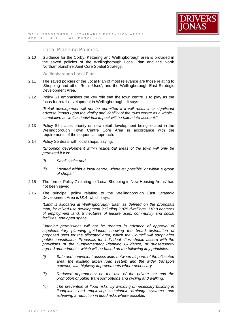# Local Planning Policies

2.10 Guidance for the Corby, Kettering and Wellingborough area is provided in the saved policies of the Wellingborough Local Plan and the North Northamptonshire Joint Core Spatial Strategy.

Wellingborough Local Plan

- 2.11 The saved policies of the Local Plan of most relevance are those relating to 'Shopping and other Retail Uses', and the Wellingborough East Strategic Development Area.
- 2.12 Policy S1 emphasises the key role that the town centre is to play as the focus for retail development in Wellingborough. It says:

*"Retail development will not be permitted if it will result in a significant adverse impact upon the vitality and viability of the town centre as a whole cumulative as well as individual impact will be taken into account."* 

- 2.13 Policy S2 places priority on new retail development being located in the Wellingborough Town Centre Core Area in accordance with the requirements of the sequential approach.
- 2.14 Policy S5 deals with local shops, saying:

*"Shopping development within residential areas of the town will only be permitted if it is:* 

- *(i) Small scale; and*
- *(ii) Located within a local centre, wherever possible, or within a group of shops."*
- 2.15 The former Policy 7 relating to 'Local Shopping in New Housing Areas' has not been saved.
- 2.16 The principal policy relating to the Wellingborough East Strategic Development Area is U14, which says:

*"Land is allocated at Wellingborough East, as defined on the proposals map, for mixed-use development including 2,875 dwellings, 110.8 hectares of employment land, 9 hectares of leisure uses, community and social facilities, and open space.* 

*Planning permissions will not be granted in advance of approval of supplementary planning guidance, showing the broad distribution of proposed uses for the allocated area, which the Council will adopt after public consultation. Proposals for individual sites should accord with the provisions of the Supplementary Planning Guidance, or subsequently agreed amendments, which will be based on the following key principles:* 

- *(i) Safe and convenient access links between all parts of the allocated area, the existing urban road system and the wider transport network, with highway improvements where necessary.*
- *(ii) Reduced dependency on the use of the private car and the promotion of public transport options and cycling and walking.*
- *(iii) The prevention of flood risks, by avoiding unnecessary building in floodplains and employing sustainable drainage systems, and achieving a reduction in flood risks where possible.*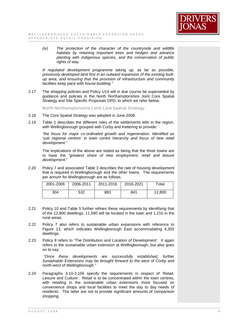

*(iv) The protection of the character of the countryside and wildlife habitats by retaining important trees and hedges and advance planting with indigenous species, and the conservation of public rights of way.* 

*A regulated development programme taking up, as far as possible, previously developed land first in an outward expansion of the existing builtup area, and ensuring that the provision of infrastructure and community facilities keep pace with house-building."* 

2.17 The shopping policies and Policy U14 will in due course be superseded by guidance and policies in the North Northamptonshire Joint Core Spatial Strategy and Site Specific Proposals DPD, to which we refer below.

North Northamptonshire Joint Core Spatial Strategy

- 2.18 The Core Spatial Strategy was adopted in June 2008.
- 2.19 Table 1 describes the different roles of the settlements with in the region, with Wellingborough grouped with Corby and Kettering to provide:

*"the focus for major co-ordinated growth and regeneration. Identified as 'sub regional centres' in town centre hierarchy and focus of new retail development."* 

The implications of the above are stated as being that the three towns are to have the *"greatest share of new employment, retail and leisure development.*"

2.20 Policy 7 and associated Table 3 describes the rate of housing development that is required in Wellingborough and the other towns. The requirements per annum for Wellingborough are as follows.

| 2001-2006 | 2006-2011 | 2011-2016 | 2016-2021 | Total  |
|-----------|-----------|-----------|-----------|--------|
| 304       | 532       | 883       | 841       | 12,800 |

- 2.21 Policy 10 and Table 5 further refines these requirements by identifying that of the 12,800 dwellings, 11,590 will be located in the town and 1,210 in the rural areas.
- 2.22 Policy 7 also refers to sustainable urban expansions with reference to Figure 13, which indicates Wellingborough East accommodating 4,350 dwellings.
- 2.23 Policy 9 refers to 'The Distribution and Location of Development'. It again refers to the sustainable urban extension at Wellingborough, but also goes on to say:

*"Once these developments are successfully established, further Sustainable Extensions may be brought forward to the west of Corby and north-west of Wellingborough."* 

2.24 Paragraphs 3.10-3.106 specify the requirements in respect of 'Retail, Leisure and Culture'. Retail is to be concentrated within the town centres, with retailing in the sustainable urban extensions more focused on convenience shops and local facilities to meet the day to day needs of residents. The latter are not to provide significant amounts of comparison shopping.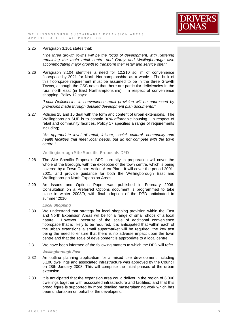

## 2.25 Paragraph 3.101 states that:

*"The three growth towns will be the focus of development, with Kettering remaining the main retail centre and Corby and Wellingborough also accommodating major growth to transform their retail and service offer."* 

2.26 Paragraph 3.104 identifies a need for 12,210 sq. m of convenience floorspace by 2021 for North Northamptonshire as a whole. The bulk of this floorspace requirement must be assumed to be in the three Growth Towns, although the CSS notes that there are particular deficiencies in the rural north east (in East Northamptonshire). In respect of convenience shopping, Policy 12 says:

*"Local Deficiencies in convenience retail provision will be addressed by provisions made through detailed development plan documents."* 

2.27 Policies 15 and 16 deal with the form and content of urban extensions. The Wellingborough SUE is to contain 30% affordable housing. In respect of retail and community facilities, Policy 17 specifies a range of requirements including;

*"An appropriate level of retail, leisure, social, cultural, community and health facilities that meet local needs, but do not compete with the town centre."* 

## Wellingborough Site Specific Proposals DPD

- 2.28 The Site Specific Proposals DPD currently in preparation will cover the whole of the Borough, with the exception of the town centre, which is being covered by a Town Centre Action Area Plan. It will cover the period 2001- 2021, and provide guidance for both the Wellingborough East and Wellingborough North Expansion Areas.
- 2.29 An Issues and Options Paper was published in February 2006. Consultation on a Preferred Options document is programmed to take place in winter 2008/9, with final adoption of the DPD anticipated in summer 2010.

## *Local Shopping*

- 2.30 We understand that strategy for local shopping provision within the East and North Expansion Areas will be for a range of small shops of a local nature. However, because of the scale of additional convenience floorspace that is likely to be required, it is anticipated that within each of the urban extensions a small supermarket will be required. the key test being the need to ensure that there is no adverse impact upon the town centre and that the scale of development is appropriate to a local centre.
- 2.31 We have been informed of the following matters to which the DPD will refer.

## *Wellingborough East*

- 2.32 An outline planning application for a mixed use development including 3,100 dwellings and associated infrastructure was approved by the Council on 28th January 2008. This will comprise the initial phases of the urban extension.
- 2.33 It is anticipated that the expansion area could deliver in the region of 6,000 dwellings together with associated infrastructure and facilities; and that this broad figure is supported by more detailed masterplanning work which has been undertaken on behalf of the developers.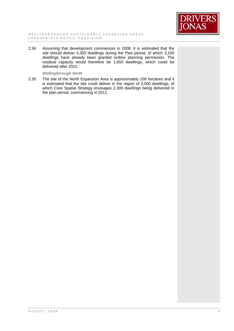

2.34 Assuming that development commences in 2008, it is estimated that the site should deliver 4,350 dwellings during the Plan period, of which 3,100 dwellings have already been granted outline planning permission. The residual capacity would therefore be 1,650 dwellings, which could be delivered after 2021.

## *Wellingborough North*

2.35 The site of the North Expansion Area is approximately 158 hectares and it is estimated that the site could deliver in the region of 3,000 dwellings, of which Core Spatial Strategy envisages 2,300 dwellings being delivered in the plan period, commencing in 2011.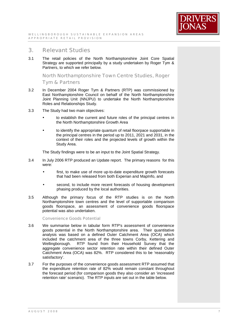

# 3. Relevant Studies

3.1 The retail policies of the North Northamptonshire Joint Core Spatial Strategy are supported principally by a study undertaken by Roger Tym & Partners, to which we refer below.

North Northamptonshire Town Centre Studies, Roger Tym & Partners

- 3.2 In December 2004 Roger Tym & Partners (RTP) was commissioned by East Northamptonshire Council on behalf of the North Northamptonshire Joint Planning Unit (NNJPU) to undertake the North Northamptonshire Roles and Relationships Study.
- 3.3 The Study had two main objectives:
	- to establish the current and future roles of the principal centres in the North Northamptonshire Growth Area
	- to identify the appropriate quantum of retail floorpace supportable in the principal centres in the period up to 2011, 2021 and 2031, in the context of their roles and the projected levels of growth within the Study Area.

The Study findings were to be an input to the Joint Spatial Strategy.

- 3.4 In July 2006 RTP produced an Update report. The primary reasons for this were:
	- first, to make use of more up-to-date expenditure growth forecasts that had been released from both Experian and MapInfo, and
	- second, to include more recent forecasts of housing development phasing produced by the local authorities.
- 3.5 Although the primary focus of the RTP studies is on the North Northamptonshire town centres and the level of supportable comparison goods floorspace, an assessment of convenience goods floorspace potential was also undertaken.

Convenience Goods Potential

- 3.6 We summarise below in tabular form RTP's assessment of convenience goods potential in the North Northamptonshire area. Their quantitative analysis was based on a defined Outer Catchment Area (OCA) which included the catchment area of the three towns Corby, Kettering and Wellingborough. RTP found from their Household Survey that the aggregate convenience sector retention rate within their defined Outer Catchment Area (OCA) was 82%. RTP considered this to be 'reasonably satisfactory'.
- 3.7 For the purposes of the convenience goods assessment RTP assumed that the expenditure retention rate of 82% would remain constant throughout the forecast period (for comparison goods they also consider an 'increased retention rate' scenario). The RTP inputs are set out in the table below.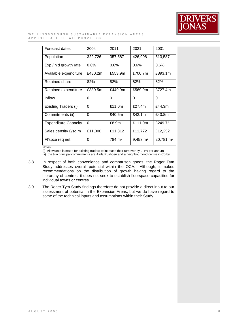

#### WELLINGBOROUGH SUSTAINABLE EXPANSION AREAS A P P R O P R I A T E R E T A I L P R O V I S I O N

| Forecast dates              | 2004     | 2011               | 2021                | 2031                  |
|-----------------------------|----------|--------------------|---------------------|-----------------------|
| Population                  | 322,726  | 357,587            | 426,908             | 513,587               |
| Exp / h'd growth rate       | 0.6%     | $0.6\%$            | 0.6%                | 0.6%                  |
| Available expenditure       | £480.2m  | £553.9m            | £700.7m             | £893.1m               |
| <b>Retained share</b>       | 82%      | 82%                | 82%                 | 82%                   |
| Retained expenditure        | £389.5m  | £449.9m            | £569.9m             | £727.4m               |
| Inflow                      | 0        | 0                  | $\mathbf 0$         | $\Omega$              |
| Existing Traders (i)        | $\Omega$ | £11.0m             | £27.4m              | £44.3m                |
| Commitments (ii)            | $\Omega$ | £40.5m             | £42.1m              | £43.8m                |
| <b>Expenditure Capacity</b> | $\Omega$ | £8.9m              | £111.0m             | £249.72               |
| Sales density £/sq m        | £11,000  | £11,312            | £11,772             | £12,252               |
| Fl'spce req net             | 0        | 784 m <sup>2</sup> | $9,453 \text{ m}^2$ | 20,781 m <sup>2</sup> |
| $1 - 1 - 1$                 |          |                    |                     |                       |

Notes

(i) Allowance is made for existing traders to increase their turnover by 0.4% per annum

(ii) the two principal commitments are Asda Rushden and a neighbourhood centre in Corby

- 3.8 In respect of both convenience and comparison goods, the Roger Tym Study addresses overall potential within the OCA. Although, it makes recommendations on the distribution of growth having regard to the hierarchy of centres, it does not seek to establish floorspace capacities for individual towns or centres.
- 3.9 The Roger Tym Study findings therefore do not provide a direct input to our assessment of potential in the Expansion Areas, but we do have regard to some of the technical inputs and assumptions within their Study.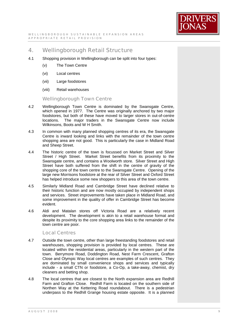

# 4. Wellingborough Retail Structure

- 4.1 Shopping provision in Wellingborough can be split into four types:
	- (v) The Town Centre
	- (vi) Local centres
	- (vii) Large foodstores
	- (viii) Retail warehouses

Wellingborough Town Centre

- 4.2 Wellingborough Town Centre is dominated by the Swansgate Centre, which opened in 1977. The Centre was originally anchored by two major foodstores, but both of these have moved to larger stores in out-of-centre locations. The major traders in the Swansgate Centre now include Wilkinsons, Boots and W H Smith.
- 4.3 In common with many planned shopping centres of its era, the Swansgate Centre is inward looking and links with the remainder of the town centre shopping area are not good. This is particularly the case in Midland Road and Sheep Street.
- 4.4 The historic centre of the town is focussed on Market Street and Silver Street / High Street. Market Street benefits from its proximity to the Swansgate centre, and contains a Woolworth store. Silver Street and High Street have both suffered from the shift in the centre of gravity of the shopping core of the town centre to the Swansgate Centre. Opening of the large new Morrisons foodstore at the rear of Silver Street and Oxford Street has helped introduce some new shoppers to this area of the town centre.
- 4.5 Similarly Midland Road and Cambridge Street have declined relative to their historic function and are now mostly occupied by independent shops and services. Street improvements have taken place in Midland Road, and some improvement in the quality of offer in Cambridge Street has become evident.
- 4.6 Aldi and Matalan stores off Victoria Road are a relatively recent development. The development is akin to a retail warehouse format and despite its proximity to the core shopping area links to the remainder of the town centre are poor.

# Local Centres

- 4.7 Outside the town centre, other than large freestanding foodstores and retail warehouses, shopping provision is provided by local centres. These are located within the residential areas, particularly in the western part of the town. Berrymore Road, Doddington Road, Nest Farm Crescent, Grafton Close and Olympic Way local centres are examples of such centres. They are dominated by small convenience shops and services and typically include - a small CTN or foodstore, a Co-Op, a take-away, chemist, dry cleaners and betting shop.
- 4.8 The local centres that are closest to the North expansion area are Redhill Farm and Grafton Close. Redhill Farm is located on the southern side of Northen Way at the Kettering Road roundabout. There is a pedestrian underpass to the Redhill Grange housing estate opposite. It is a planned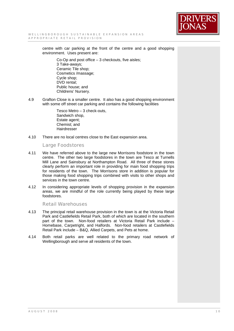

centre with car parking at the front of the centre and a good shopping environment. Uses present are:

> Co-Op and post office – 3 checkouts, five aisles; 3 Take-aways; Ceramic Tile shop; Cosmetics /massage; Cycle shop; DVD rental; Public house; and Childrens' Nursery.

4.9 Grafton Close is a smaller centre. It also has a good shopping environment with some off street car parking and contains the following facilities

> Tesco Metro – 3 check-outs, Sandwich shop, Estate agent; Chemist; and Hairdresser

4.10 There are no local centres close to the East expansion area.

Large Foodstores

- 4.11 We have referred above to the large new Morrisons foodstore in the town centre. The other two large foodstores in the town are Tesco at Turnells Mill Lane and Sainsbury at Northampton Road. All three of these stores clearly perform an important role in providing for main food shopping trips for residents of the town. The Morrisons store in addition is popular for those making food shopping trips combined with visits to other shops and services in the town centre.
- 4.12 In considering appropriate levels of shopping provision in the expansion areas, we are mindful of the role currently being played by these large foodstores.

Retail Warehouses

- 4.13 The principal retail warehouse provision in the town is at the Victoria Retail Park and Castlefields Retail Park, both of which are located in the southern part of the town. Non-food retailers at Victoria Retail Park include – Homebase, Carpetright, and Halfords. Non-food retailers at Castlefields Retail Park include – B&Q, Allied Carpets, and Pets at home.
- 4.14 Both retail parks are well related to the primary road network of Wellingborough and serve all residents of the town.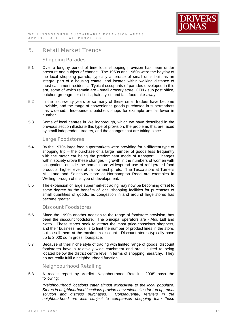

# Shopping Parades

- 5.1 Over a lengthy period of time local shopping provision has been under pressure and subject of change. The 1950s and 1960s were the heyday of the local shopping parade, typically a terrace of small units built as an integral part of a housing estate, and located within walking distance of most catchment residents. Typical occupants of parades developed in this era, some of which remain are - small grocery store, CTN / sub post office, butcher, greengrocer / florist; hair stylist, and fast food take-away.
- 5.2 In the last twenty years or so many of these small traders have become unviable, and the range of convenience goods purchased in supermarkets has widened. Independent butchers shops for example are far fewer in number.
- 5.3 Some of local centres in Wellingborough, which we have described in the previous section illustrate this type of provision, the problems that are faced by small independent traders, and the changes that are taking place.

# Large Foodstores

- 5.4 By the 1970s large food supermarkets were providing for a different type of shopping trip – the purchase of a large number of goods less frequently with the motor car being the predominant mode of transport. Changes within society drove these changes – growth in the numbers of women with occupations outside the home; more widespread use of refrigerated food products; higher levels of car ownership, etc. The Tesco store at Turnells Mill Lane and Sainsbury store at Northampton Road are examples in Wellingborough of this type of development.
- 5.5 The expansion of large supermarket trading may now be becoming offset to some degree by the benefits of local shopping facilities for purchases of small quantities of goods, as congestion in and around large stores has become greater.

# Discount Foodstores

- 5.6 Since the 1990s another addition to the range of foodstore provision, has been the discount foodstore. The principal operators are - Aldi, Lidl and Netto. These stores seek to attract the most price-conscious shoppers, and their business model is to limit the number of product lines in the store, but to sell them at the maximum discount. Discount stores typically have up to 2,000 sq m gross floorspace.
- 5.7 Because of their niche style of trading with limited range of goods, discount foodstores have a relatively wide catchment and are ill-suited to being located below the district centre level in terms of shopping hierarchy. They do not really fulfil a neighbourhood function.

# Neighbourhood Retailing

5.8 A recent report by Verdict 'Neighbourhood Retailing 2008' says the following:

*"Neighbourhood locations cater almost exclusively to the local populace. Stores in neighbourhood locations provide convenient sites for top up, meal*   $solution$  *and distress purchases. neighbourhood are less subject to comparison shopping than those*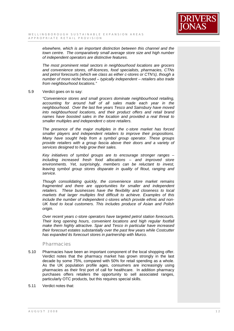

*elsewhere, which is an important distinction between this channel and the town centre. The comparatively small average store size and high number of independent operators are distinctive features.* 

*The most prominent retail sectors in neighbourhood locations are grocers and convenience stores, off-licences, food specialists, pharmacies, CTNs and petrol forecourts (which we class as either c-stores or CTN's), though a number of more niche focused – typically independent – retailers also trade from neighbourhood locations."* 

#### 5.9 Verdict goes on to say:

*"Convenience stores and small grocers dominate neighbourhood retailing, accounting for around half of all sales made each year in the neighbourhood. Over the last five years Tesco and Sainsbury have moved into neighbourhood locations, and their product offers and retail brand names have boosted sales in the location and provided a real threat to smaller multiples and independent c-store retailers.* 

*The presence of the major multiples in the c-store market has forced smaller players and independent retailers to improve their propositions. Many have sought help from a symbol group operator. These groups provide retailers with a group fascia above their doors and a variety of services designed to help grow their sales.* 

*Key initiatives of symbol groups are to encourage stronger ranges – including increased fresh food allocations – and improved store environments. Yet, surprisingly, members can be reluctant to invest, leaving symbol group stores disparate in quality of fitout, ranging and service.* 

*Though consolidating quickly, the convenience store market remains fragmented and there are opportunities for smaller and independent retailers. These businesses have the flexibility and closeness to local markets that larger multiples find difficult to achieve. Examples of this include the number of independent c-stores which provide ethnic and non-UK food to local customers. This includes produce of Asian and Polish origin.* 

*Over recent years c-store operators have targeted petrol station forecourts. Their long opening hours, convenient locations and high regular footfall make them highly attractive. Spar and Tesco in particular have increased their forecourt estates substantially over the past few years while Costcutter has expanded its forecourt stores in partnership with Murco.* 

## **Pharmacies**

- 5.10 Pharmacies have been an important component of the local shopping offer. Verdict notes that the pharmacy market has grown strongly in the last decade by some 75%, compared with 50% for retail spending as a whole. As the UK population profile ages, consumers are increasingly using pharmacies as their first port of call for healthcare. In addition pharmacy purchases offers retailers the opportunity to sell associated ranges, particularly OTC products, but this requires special skills.
- 5.11 Verdict notes that: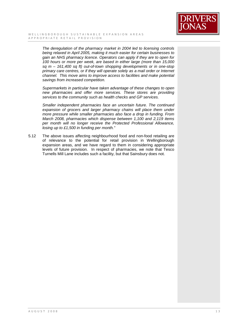

*The deregulation of the pharmacy market in 2004 led to licensing controls being relaxed in April 2005, making it much easier for certain businesses to gain an NHS pharmacy licence. Operators can apply if they are to open for 100 hours or more per week, are based in either large (more than 15,000 sq m – 161,400 sq ft) out-of-town shopping developments or in one-stop primary care centres, or if they will operate solely as a mail order or Internet channel. This move aims to improve access to facilities and make potential savings from increased competition.* 

*Supermarkets in particular have taken advantage of these changes to open new pharmacies and offer more services. These stores are providing services to the community such as health checks and GP services.* 

*Smaller independent pharmacies face an uncertain future. The continued expansion of grocers and larger pharmacy chains will place them under more pressure while smaller pharmacies also face a drop in funding. From March 2008, pharmacies which dispense between 1,100 and 2,119 items per month will no longer receive the Protected Professional Allowance, losing up to £1,500 in funding per month."* 

5.12 The above issues affecting neighbourhood food and non-food retailing are of relevance to the potential for retail provision in Wellingborough expansion areas, and we have regard to them in considering appropriate levels of future provision. In respect of pharmacies, we note that Tesco Turnells Mill Lane includes such a facility, but that Sainsbury does not.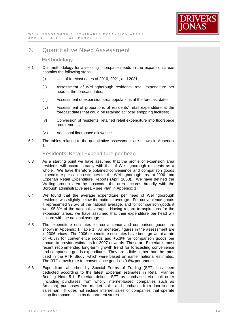

# 6. Quantitative Need Assessment

# **Methodology**

- 6.1 Our methodology for assessing floorspace needs in the expansion areas contains the following steps.
	- (i) Use of forecast dates of 2016, 2021, and 2031;
	- (ii) Assessment of Wellingborough residents' retail expenditure per head at the forecast dates;
	- (iii) Assessment of expansion area populations at the forecast dates;
	- (iv) Assessment of proportions of residents' retail expenditure at the forecast dates that could be retained at 'local' shopping facilities;
	- (v) Conversion of residents' retained retail expenditure into floorspace requirements;
	- (vi) Additional floorspace allowance .
- 6.2 The tables relating to the quantitative assessment are shown in Appendix 1.

Residents' Retail Expenditure per head

- 6.3 As a starting point we have assumed that the profile of expansion area residents will accord broadly with that of Wellingborough residents as a whole. We have therefore obtained convenience and comparison goods expenditure per capita estimates for the Wellingborough area at 2006 from Experian Retail Expenditure Reports (April 2008). We have defined the Wellingborough area by postcode: the area accords broadly with the Borough administrative area – see Plan in Appendix 1.
- 6.4 We found that the average expenditure per head of Wellingborough residents was slightly below the national average. For convenience goods it represented 99.5% of the national average, and for comparison goods it was 95.3% of the national average. Having regard to aspirations for the expansion areas, we have assumed that their expenditure per head will accord with the national average.
- 6.5 The expenditure estimates for convenience and comparison goods are shown in Appendix 1 Table 1. All monetary figures in the assessment are in 2006 prices. The 2006 expenditure estimates have been grown at a rate of +0.8% for convenience goods and +5.3% for comparison goods per annum to provide estimates for 2007 onwards. These are Experian's most recent recommended long-term growth trend for forecasting convenience and comparison goods expenditure. They are a little higher than the rates used in the RTP Study, which were based on earlier national estimates. The RTP growth rate for convenience goods is 0.6% per annum.
- 6.6 Expenditure absorbed by Special Forms of Trading (SFT) has been deducted according to the latest Experian estimates in Retail Planner Briefing Note 5.1. Experian defines SFT as purchases via mail order (including purchases from wholly internet-based companies such as Amazon), purchases from market stalls, and purchases from door-to-door salesman. It does not include internet sales of companies that operate shop floorspace, such as department stores.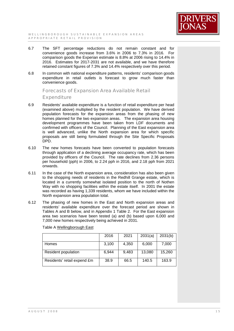

- 6.7 The SFT percentage reductions do not remain constant and for convenience goods increase from 3.6% in 2006 to 7.3% in 2016. For comparison goods the Experian estimate is 8.8% at 2006 rising to 14.4% in 2016. Estimates for 2017-2031 are not available, and we have therefore retained constant figures of 7.3% and 14.4% respectively over this period.
- 6.8 In common with national expenditure patterns, residents' comparison goods expenditure in retail outlets is forecast to grow much faster than convenience goods.

Forecasts of Expansion Area Available Retail

**Expenditure** 

- 6.9 Residents' available expenditure is a function of retail expenditure per head (examined above) multiplied by the resident population. We have derived population forecasts for the expansion areas from the phasing of new homes planned for the two expansion areas. The expansion area housing development programmes have been taken from LDF documents and confirmed with officers of the Council. Planning of the East expansion area is well advanced, unlike the North expansion area for which specific proposals are still being formulated through the Site Specific Proposals DPD.
- 6.10 The new homes forecasts have been converted to population forecasts through application of a declining average occupancy rate, which has been provided by officers of the Council. The rate declines from 2.36 persons per household (pph) in 2006, to 2.24 pph in 2016, and 2.18 pph from 2021 onwards.
- 6.11 In the case of the North expansion area, consideration has also been given to the shopping needs of residents in the Redhill Grange estate, which is located in a currently somewhat isolated position to the north of Nothen Way with no shopping facilities within the estate itself. In 2001 the estate was recorded as having 1,339 residents, whom we have included within the North expansion area population total.
- 6.12 The phasing of new homes in the East and North expansion areas and residents' available expenditure over the forecast period are shown in Tables A and B below, and in Appendix 1 Table 2. For the East expansion area two scenarios have been tested (a) and (b) based upon 6,000 and 7,000 new homes respectively being achieved in 2031.

|                             | 2016  | 2021  | 2031(a) | 2031(b) |
|-----------------------------|-------|-------|---------|---------|
| <b>Homes</b>                | 3,100 | 4,350 | 6,000   | 7,000   |
| Resident population         | 6.944 | 9,483 | 13,080  | 15,260  |
| Residents' retail expend £m | 38.9  | 66.5  | 140.5   | 163.9   |

Table A Wellingborough East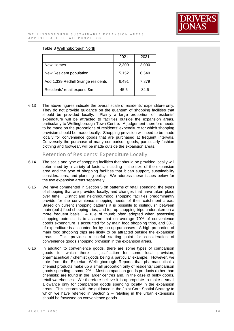

## Table B Wellingborough North

|                                    | 2021  | 2031  |
|------------------------------------|-------|-------|
| New Homes                          | 2,300 | 3,000 |
| New Resident population            | 5,152 | 6,540 |
| Add 1,339 Redhill Grange residents | 6,491 | 7,879 |
| Residents' retail expend £m        | 45.5  | 84.6  |

6.13 The above figures indicate the overall scale of residents' expenditure only. They do not provide guidance on the quantum of shopping facilities that should be provided locally. Plainly a large proportion of residents' expenditure will be attracted to facilities outside the expansion areas, particularly to Wellingborough Town Centre. A judgement therefore needs to be made on the proportions of residents' expenditure for which shopping provision should be made locally. Shopping provision will need to be made locally for convenience goods that are purchased at frequent intervals. Conversely the purchase of many comparison goods, particularly fashion clothing and footwear, will be made outside the expansion areas.

Retention of Residents' Expenditure Locally

- 6.14 The scale and type of shopping facilities that should be provided locally will determined by a variety of factors, including - the size of the expansion area and the type of shopping facilities that it can support, sustainability considerations, and planning policy. We address these issues below for the two expansion areas separately.
- 6.15 We have commented in Section 5 on patterns of retail spending, the types of shopping that are provided locally, and changes that have taken place over time. District and neighbourhood shopping facilities predominantly provide for the convenience shopping needs of their catchment areas. Based on current shopping patterns it is possible to distinguish between main (bulk) food shopping trips, and top-up shopping trips undertaken on a more frequent basis. A rule of thumb often adopted when assessing shopping potential is to assume that on average 70% of convenience goods expenditure is accounted for by main food shopping trips, and 30% of expenditure is accounted for by top-up purchases. A high proportion of main food shopping trips are likely to be attracted outside the expansion areas. This provides a useful starting point for consideration of convenience goods shopping provision in the expansion areas.
- 6.16 In addition to convenience goods, there are some types of comparison goods for which there is justification for some local provision, pharmaceutical / chemist goods being a particular example. However, we note from the Experian Wellingborough Reports that pharmaceutical / chemist products make up a small proportion only of residents' comparison goods spending – some 2%. Most comparison goods products (other than chemists) are found in the larger centres and, in the case of bulky goods, retail warehouses. We therefore believe it is appropriate to make a small allowance only for comparison goods spending locally in the expansion areas. This accords with the guidance in the Joint Core Spatial Strategy to which we have referred in Section  $2$  – retailing in the urban extensions should be focussed on convenience goods.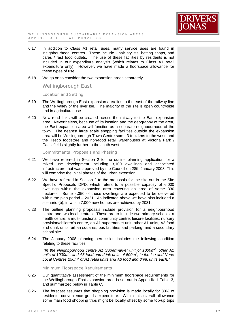

- 6.17 In addition to Class A1 retail uses, many service uses are found in 'neighbourhood' centres. These include - hair stylists, betting shops, and cafés / fast food outlets. The use of these facilities by residents is not included in our expenditure analysis (which relates to Class A1 retail expenditure only). However, we have made a floorspace allowance for these types of use.
- 6.18 We go on to consider the two expansion areas separately.

Wellingborough East

Location and Setting

- 6.19 The Wellingborough East expansion area lies to the east of the railway line and the valley of the river Ise. The majority of the site is open countryside and in agricultural use.
- 6.20 New road links will be created across the railway to the East expansion area. Nevertheless, because of its location and the geography of the area, the East expansion area will function as a separate neighbourhood of the town. The nearest large scale shopping facilities outside the expansion area will be Wellingborough Town Centre some 3 to 4 kms to the west, and the Tesco foodstore and non-food retail warehouses at Victoria Park / Castlefields slightly further to the south west.

Commitments, Proposals and Phasing

- 6.21 We have referred in Section 2 to the outline planning application for a mixed use development including 3,100 dwellings and associated infrastructure that was approved by the Council on 28th January 2008. This will comprise the initial phases of the urban extension.
- 6.22 We have referred in Section 2 to the proposals for the site out in the Site Specific Proposals DPD, which refers to a possible capacity of 6,000 dwellings within the expansion area covering an area of some 330 hectares. Some 4,350 of these dwellings are expected to be delivered within the plan-period – 2021. As indicated above we have also included a scenario (b), in which 7,000 new homes are achieved by 2031.
- 6.23 The outline planning proposals include provision for a neighbourhood centre and two local centres. These are to include two primary schools, a health centre, a multi-functional community centre, leisure facilities, nursery provision/children's centre, an A1 supermarket unit, other A1 units, A3 food and drink units, urban squares, bus facilities and parking, and a secondary school site.
- 6.24 The January 2008 planning permission includes the following condition relating to these facilities.

*"In the Neighbourhood centre A1 Supermarket unit of 1000m<sup>2</sup> , other A1 units of 1000m<sup>2</sup> , and A3 food and drink units of 500m<sup>2</sup> ; In the Ise and Nene Local Centres 250m<sup>2</sup> of A1 retail units and A3 food and drink units each."* 

Minimum Floorspace Requirements

- 6.25 Our quantitative assessment of the minimum floorspace requirements for the Wellingborough East expansion area is set out in Appendix 1 Table 3, and summarized below in Table C.
- 6.26 The forecast assumes that shopping provision is made locally for 30% of residents' convenience goods expenditure. Within this overall allowance some main food shopping trips might be locally offset by some top-up trips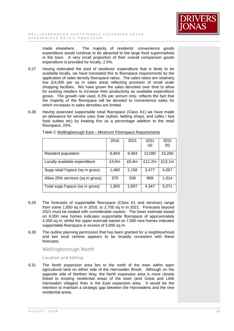

made elsewhere. The majority of residents' convenience goods expenditure would continue to be attracted to the large food supermarkets in the town. A very small proportion of their overall comparison goods expenditure is provided for locally, 2.5%.

- 6.27 Having estimated the pool of residents' expenditure that is likely to be available locally, we have translated this to floorspace requirements by the application of sales density floorspace ratios. The sales ratios are relatively low (£4,000 per sq m sales area) reflecting provision of small scale shopping facilities. We have grown the sales densities over time to allow for existing retailers to increase their productivity as available expenditure grows. The growth rate used, 0.3% per annum only, reflects the fact that the majority of the floorspace will be devoted to convenience sales for which increases in sales densities are limited.
- 6.28 Having assessed supportable retail floorspace (Class A1) we have made an allowance for service uses (hair stylists, betting shops, and cafés / fast food outlets etc) by treating this as a percentage addition to the retail floorspace, 25%.

|                                  | 2016  | 2021  | 2031<br>(a) | 2031<br>(b) |
|----------------------------------|-------|-------|-------------|-------------|
| Resident population              | 6,944 | 9,483 | 13,080      | 15,260      |
| Locally available expenditure    | £4.6m | £6.8m | £11.2m      | £13.1m      |
| Supp retail f'space (sq m gross) | 1,480 | 2,158 | 3,477       | 4,057       |
| Allow 25% services (sq m gross)  | 370   | 539   | 869         | 1,014       |
| Total supp f'space (sq m gross)  | 1,850 | 2,697 | 4,347       | 5,071       |

Table C Wellingborough East – Minimum Floorspace Requirements

- 6.29 The forecasts of supportable floorspace (Class A1 and services) range from some 1,850 sq m in 2016, to 2,700 sq m in 2021. Forecasts beyond 2021 must be treated with considerable caution. The lower estimate based on 6,000 new homes indicates supportable floorspace of approximately 4,350 sq m; whilst the upper estimate based on 7,000 new homes indicates supportable floorspace in excess of 5,000 sq m.
- 6.30 The outline planning permission that has been granted for a neighbourhood and two local centres appears to be broadly consistent with these forecasts.

Wellingborough North

Location and Setting

6.31 The North expansion area lies to the north of the town within open agricultural land on either side of the Harrowden Brook. Although on the opposite side of Northen Way, the North expansion area is more closely linked to existing residential areas of the town (and Great and Little Harrowden villages) than is the East expansion area. It would be the intention to maintain a strategic gap between the Harrowdens and the new residential areas.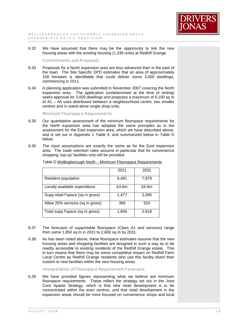

6.32 We have assumed that there may be the opportunity to link the new housing areas with the existing housing (1,339 units) at Redhill Grange.

#### Commitments and Proposals

- 6.33 Proposals for a North expansion area are less advanced than in the east of the town. The Site Specific DPD estimates that an area of approximately 158 hectares is identifiable that could deliver some 3,000 dwellings, commencing in 2011.
- 6.34 A planning application was submitted in November 2007 covering the North expansion area. The application (undetermined at the time of writing) seeks approval for 3,000 dwellings and proposes a maximum of 6,100 sq m of A1 – A5 uses distributed between a neighbourhood centre, two smaller centres and in stand-alone single shop units.

Minimum Floorspace Requirements

- 6.35 Our quantitative assessment of the minimum floorspace requirements for the North expansion area has adopted the same principles as in the assessment for the East expansion area, which we have described above, and is set out in Appendix 1 Table 4, and summarized below in Table D below.
- 6.36 The input assumptions are exactly the same as for the East expansion area. The trade retention rates assume in particular that for convenience shopping 'top-up' facilities only will be provided.

|                                  | 2021  | 2031  |
|----------------------------------|-------|-------|
| Resident population              | 6,491 | 7,879 |
| Locally available expenditure    | £4.6m | £6.8m |
| Supp retail f'space (sq m gross) | 1,477 | 2,095 |
| Allow 25% services (sq m gross)  | 369   | 524   |
| Total supp f'space (sq m gross)  | 1,846 | 2,618 |

Table D Wellingborough North – Minimum Floorspace Requirements

- 6.37 The forecasts of supportable floorspace (Class A1 and services) range from some 1,850 sq m in 2021 to 2,600 sq m by 2031.
- 6.38 As has been noted above, these floorspace estimates assume that the new housing areas and shopping facilities are designed in such a way as to be readily accessible to existing residents of the Redhill Grange estate. This in turn means that there may be some competitive impact on Redhill Farm Local Centre as Redhill Grange residents who use this facility divert their custom to new facilities within the new housing areas.

Interpretation of Floorspace Requirement Forecasts

6.39 We have provided figures representing what we believe are minimum floorspace requirements. These reflect the strategy set out in the Joint Core Spatial Strategy, which is that new retail development is to be concentrated within the town centres, and that retail development in the expansion areas should be more focused on convenience shops and local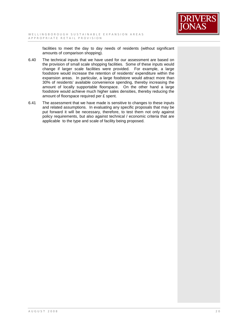

facilities to meet the day to day needs of residents (without significant amounts of comparison shopping).

- 6.40 The technical inputs that we have used for our assessment are based on the provision of small scale shopping facilities. Some of these inputs would change if larger scale facilities were provided. For example, a large foodstore would increase the retention of residents' expenditure within the expansion areas. In particular, a large foodstore would attract more than 30% of residents' available convenience spending, thereby increasing the amount of locally supportable floorspace. On the other hand a large foodstore would achieve much higher sales densities, thereby reducing the amount of floorspace required per £ spent.
- 6.41 The assessment that we have made is sensitive to changes to these inputs and related assumptions. In evaluating any specific proposals that may be put forward it will be necessary, therefore, to test them not only against policy requirements, but also against technical / economic criteria that are applicable to the type and scale of facility being proposed.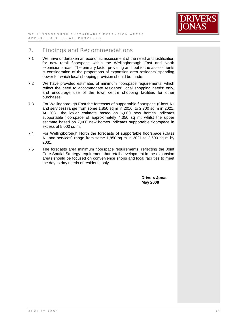

# 7. Findings and Recommendations

- 7.1 We have undertaken an economic assessment of the need and justification for new retail floorspace within the Wellingborough East and North expansion areas. The primary factor providing an input to the assessments is consideration of the proportions of expansion area residents' spending power for which local shopping provision should be made.
- 7.2 We have provided estimates of minimum floorspace requirements, which reflect the need to accommodate residents' 'local shopping needs' only, and encourage use of the town centre shopping facilities for other purchases.
- 7.3 For Wellingborough East the forecasts of supportable floorspace (Class A1 and services) range from some 1,850 sq m in 2016, to 2,700 sq m in 2021. At 2031 the lower estimate based on 6,000 new homes indicates supportable floorspace of approximately 4,350 sq m; whilst the upper estimate based on 7,000 new homes indicates supportable floorspace in excess of 5,000 sq m.
- 7.4 For Wellingborough North the forecasts of supportable floorspace (Class A1 and services) range from some 1,850 sq m in 2021 to 2,600 sq m by 2031.
- 7.5 The forecasts area minimum floorspace requirements, reflecting the Joint Core Spatial Strategy requirement that retail development in the expansion areas should be focused on convenience shops and local facilities to meet the day to day needs of residents only.

**Drivers Jonas May 2008**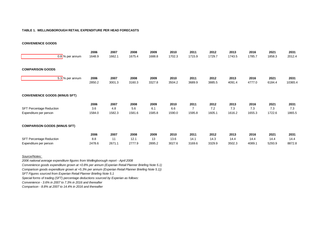#### **TABLE 1. WELLINGBOROUGH RETAIL EXPENDITURE PER HEAD FORECASTS**

**CONVENIENCE GOODS** 

| $0.8$ % per annum                                         | 2006<br>1648.9        | 2007<br>1662.1        | 2008<br>1675.4         | 2009<br>1688.8        | 2010<br>1702.3         | 2011<br>1715.9                   | 2012<br>1729.7         | 2013<br>1743.5         | 2016<br>1785.7         | 2021<br>1858.3         | 2031<br>2012.4         |
|-----------------------------------------------------------|-----------------------|-----------------------|------------------------|-----------------------|------------------------|----------------------------------|------------------------|------------------------|------------------------|------------------------|------------------------|
| <b>COMPARISON GOODS</b>                                   |                       |                       |                        |                       |                        |                                  |                        |                        |                        |                        |                        |
| 5.3 % per annum                                           | 2006<br>2850.2        | 2007<br>3001.3        | 2008<br>3160.3         | 2009<br>3327.8        | 2010<br>3504.2         | 2011<br>3689.9                   | 2012<br>3885.5         | 2013<br>4091.4         | 2016<br>4777.0         | 2021<br>6184.4         | 2031<br>10365.4        |
| <b>CONVENIENCE GOODS (MINUS SFT)</b>                      |                       |                       |                        |                       |                        |                                  |                        |                        |                        |                        |                        |
| <b>SFT Percentage Reduction</b><br>Expenditure per person | 2006<br>3.6<br>1584.0 | 2007<br>4.8<br>1582.3 | 2008<br>5.6<br>1581.6  | 2009<br>6.1<br>1585.8 | 2010<br>6.6<br>1590.0  | 2011<br>$\overline{7}$<br>1595.8 | 2012<br>7.2<br>1605.1  | 2013<br>7.3<br>1616.2  | 2016<br>7.3<br>1655.3  | 2021<br>7.3<br>1722.6  | 2031<br>7.3<br>1865.5  |
| <b>COMPARISON GOODS (MINUS SFT)</b>                       |                       |                       |                        |                       |                        |                                  |                        |                        |                        |                        |                        |
| <b>SFT Percentage Reduction</b><br>Expenditure per person | 2006<br>8.8<br>2478.6 | 2007<br>11<br>2671.1  | 2008<br>12.1<br>2777.9 | 2009<br>13<br>2895.2  | 2010<br>13.6<br>3027.6 | 2011<br>14.1<br>3169.6           | 2012<br>14.3<br>3329.9 | 2013<br>14.4<br>3502.3 | 2016<br>14.4<br>4089.1 | 2021<br>14.4<br>5293.9 | 2031<br>14.4<br>8872.8 |

#### *Source/Notes:*

*2006 national average expenditure figures from Wellingborough report - April 2008 Convenience goods expenditure grown at +0.8% per annum (Experian Retail Planner Briefing Note 5.1) Comparison goods expenditure grown at +5.3% per annum (Experian Retail Planner Briefing Note 5.1)) SFT Figures sourced from Experian Retail Planner Briefing Note 5.1 Special forms of trading (SFT) percentage deductions sourced by Experian as follows:*

*Convenience - 3.6% in 2007 to 7.3% in 2016 and thereafter*

*Comparison - 8.8% at 2007 to 14.4% in 2016 and thereafter*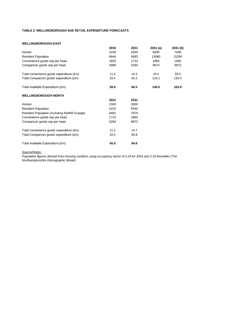## **TABLE 2. WELLINGBOROUGH SUE RETAIL EXPENDITURE FORECASTS**

#### **WELLINGBOROUGH EAST**

| 2016 | 2021 | 2031(a) | 2031 (b) |
|------|------|---------|----------|
|      |      |         |          |
|      | 4350 | 6000    | 7000     |
| 6944 | 9483 | 13080   | 15260    |
| 1655 | 1723 | 1865    | 1865     |
| 4089 | 5294 | 8873    | 8873     |
| 11.5 | 16.3 | 24.4    | 28.5     |
| 28.4 | 50.2 | 116.1   | 135.4    |
| 39.9 | 66.5 | 140.5   | 163.9    |
|      |      |         |          |
| 2021 | 2031 |         |          |
| 2300 | 3000 |         |          |
| 5152 | 6540 |         |          |
| 6491 | 7879 |         |          |
| 1723 | 1865 |         |          |
| 5294 | 8873 |         |          |
| 11.2 | 14.7 |         |          |
| 34.4 | 69.9 |         |          |
| 45.5 | 84.6 |         |          |
|      | 3100 |         |          |

#### *Source/Notes:*

*Population figures derived from housing numbers using occupancy factor of 2.24 for 2016 and 2.18 thereafter (The Northamptonshire Demographic Model)*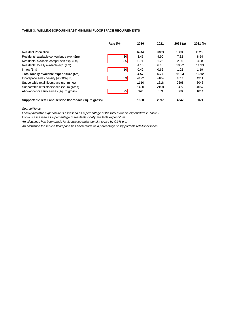## **TABLE 3. WELLINGBOROUGH EAST MINIMUM FLOORSPACE REQUIREMENTS**

|                                                         | Rate (%) | 2016 | 2021 | 2031(a) | 2031(b) |
|---------------------------------------------------------|----------|------|------|---------|---------|
| <b>Resident Population</b>                              |          | 6944 | 9483 | 13080   | 15260   |
| Residents' available convenience exp. (£m)              | 30       | 3.45 | 4.90 | 7.32    | 8.54    |
| Residents' available comparison exp. (£m)               | 2.5      | 0.71 | 1.26 | 2.90    | 3.38    |
| Residents' locally available exp. (£m)                  |          | 4.16 | 6.16 | 10.22   | 11.93   |
| Inflow $(\text{Em})$                                    | 10I      | 0.42 | 0.62 | 1.02    | 1.19    |
| Total locally available expenditure (£m)                |          | 4.57 | 6.77 | 11.24   | 13.12   |
| Floorspace sales density (4000/sq.m)                    | 0.3      | 4122 | 4184 | 4311    | 4311    |
| Supportable retail floorspace (sq. m net)               |          | 1110 | 1618 | 2608    | 3043    |
| Supportable retail floorspace (sq. m gross)             |          | 1480 | 2158 | 3477    | 4057    |
| Allowance for service uses (sq. m gross)                | 25       | 370  | 539  | 869     | 1014    |
| Supportable retail and service floorspace (sq. m gross) |          | 1850 | 2697 | 4347    | 5071    |

*Source/Notes:* 

*Locally available expenditure is assessed as a percentage of the total available expenditure in Table 2*

*Inflow is assessed as a percentage of residents locally available expenditure*

*An allowance has been made for floorspace sales density to rise by 0.3% p.a.*

*An allowance for service floorspace has been made as a percentage of supportable retail floorspace*